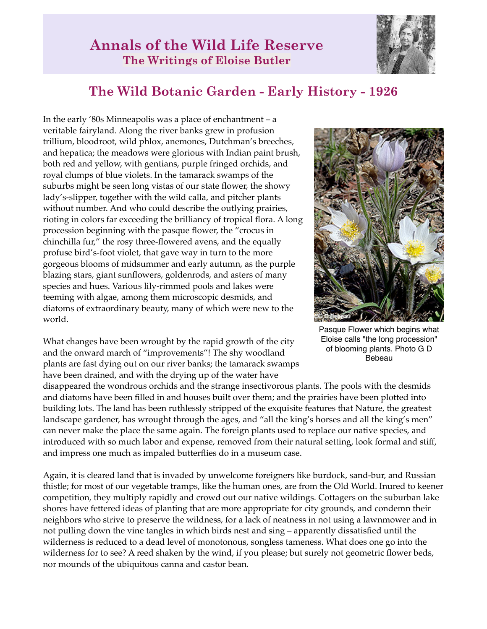

## **The Wild Botanic Garden - Early History - 1926**

In the early '80s Minneapolis was a place of enchantment – a veritable fairyland. Along the river banks grew in profusion trillium, bloodroot, wild phlox, anemones, Dutchman's breeches, and hepatica; the meadows were glorious with Indian paint brush, both red and yellow, with gentians, purple fringed orchids, and royal clumps of blue violets. In the tamarack swamps of the suburbs might be seen long vistas of our state flower, the showy lady's-slipper, together with the wild calla, and pitcher plants without number. And who could describe the outlying prairies, rioting in colors far exceeding the brilliancy of tropical flora. A long procession beginning with the pasque flower, the "crocus in chinchilla fur," the rosy three-flowered avens, and the equally profuse bird's-foot violet, that gave way in turn to the more gorgeous blooms of midsummer and early autumn, as the purple blazing stars, giant sunflowers, goldenrods, and asters of many species and hues. Various lily-rimmed pools and lakes were teeming with algae, among them microscopic desmids, and diatoms of extraordinary beauty, many of which were new to the world.

What changes have been wrought by the rapid growth of the city and the onward march of "improvements"! The shy woodland plants are fast dying out on our river banks; the tamarack swamps have been drained, and with the drying up of the water have



Pasque Flower which begins what Eloise calls "the long procession" of blooming plants. Photo G D Bebeau

disappeared the wondrous orchids and the strange insectivorous plants. The pools with the desmids and diatoms have been filled in and houses built over them; and the prairies have been plotted into building lots. The land has been ruthlessly stripped of the exquisite features that Nature, the greatest landscape gardener, has wrought through the ages, and "all the king's horses and all the king's men" can never make the place the same again. The foreign plants used to replace our native species, and introduced with so much labor and expense, removed from their natural setting, look formal and stiff, and impress one much as impaled butterflies do in a museum case.

Again, it is cleared land that is invaded by unwelcome foreigners like burdock, sand-bur, and Russian thistle; for most of our vegetable tramps, like the human ones, are from the Old World. Inured to keener competition, they multiply rapidly and crowd out our native wildings. Cottagers on the suburban lake shores have fettered ideas of planting that are more appropriate for city grounds, and condemn their neighbors who strive to preserve the wildness, for a lack of neatness in not using a lawnmower and in not pulling down the vine tangles in which birds nest and sing – apparently dissatisfied until the wilderness is reduced to a dead level of monotonous, songless tameness. What does one go into the wilderness for to see? A reed shaken by the wind, if you please; but surely not geometric flower beds, nor mounds of the ubiquitous canna and castor bean.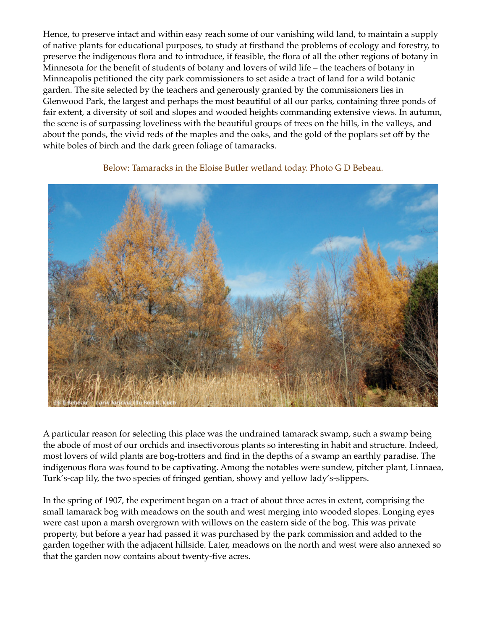Hence, to preserve intact and within easy reach some of our vanishing wild land, to maintain a supply of native plants for educational purposes, to study at firsthand the problems of ecology and forestry, to preserve the indigenous flora and to introduce, if feasible, the flora of all the other regions of botany in Minnesota for the benefit of students of botany and lovers of wild life – the teachers of botany in Minneapolis petitioned the city park commissioners to set aside a tract of land for a wild botanic garden. The site selected by the teachers and generously granted by the commissioners lies in Glenwood Park, the largest and perhaps the most beautiful of all our parks, containing three ponds of fair extent, a diversity of soil and slopes and wooded heights commanding extensive views. In autumn, the scene is of surpassing loveliness with the beautiful groups of trees on the hills, in the valleys, and about the ponds, the vivid reds of the maples and the oaks, and the gold of the poplars set off by the white boles of birch and the dark green foliage of tamaracks.



Below: Tamaracks in the Eloise Butler wetland today. Photo G D Bebeau.

A particular reason for selecting this place was the undrained tamarack swamp, such a swamp being the abode of most of our orchids and insectivorous plants so interesting in habit and structure. Indeed, most lovers of wild plants are bog-trotters and find in the depths of a swamp an earthly paradise. The indigenous flora was found to be captivating. Among the notables were sundew, pitcher plant, Linnaea, Turk's-cap lily, the two species of fringed gentian, showy and yellow lady's-slippers.

In the spring of 1907, the experiment began on a tract of about three acres in extent, comprising the small tamarack bog with meadows on the south and west merging into wooded slopes. Longing eyes were cast upon a marsh overgrown with willows on the eastern side of the bog. This was private property, but before a year had passed it was purchased by the park commission and added to the garden together with the adjacent hillside. Later, meadows on the north and west were also annexed so that the garden now contains about twenty-five acres.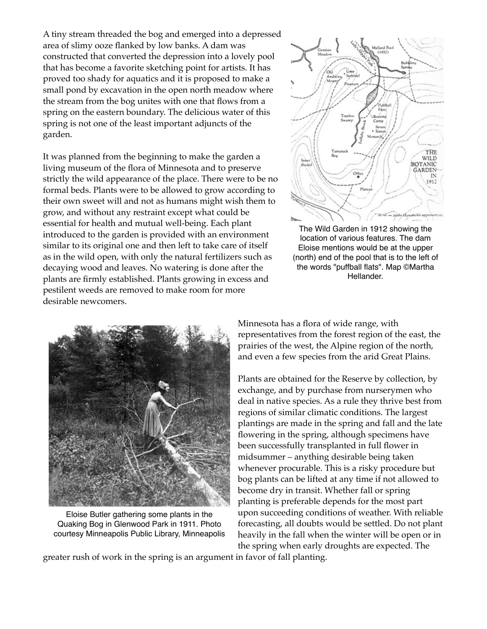A tiny stream threaded the bog and emerged into a depressed area of slimy ooze flanked by low banks. A dam was constructed that converted the depression into a lovely pool that has become a favorite sketching point for artists. It has proved too shady for aquatics and it is proposed to make a small pond by excavation in the open north meadow where the stream from the bog unites with one that flows from a spring on the eastern boundary. The delicious water of this spring is not one of the least important adjuncts of the garden.

It was planned from the beginning to make the garden a living museum of the flora of Minnesota and to preserve strictly the wild appearance of the place. There were to be no formal beds. Plants were to be allowed to grow according to their own sweet will and not as humans might wish them to grow, and without any restraint except what could be essential for health and mutual well-being. Each plant introduced to the garden is provided with an environment similar to its original one and then left to take care of itself as in the wild open, with only the natural fertilizers such as decaying wood and leaves. No watering is done after the plants are firmly established. Plants growing in excess and pestilent weeds are removed to make room for more desirable newcomers.



The Wild Garden in 1912 showing the location of various features. The dam Eloise mentions would be at the upper (north) end of the pool that is to the left of the words "puffball flats". Map ©Martha Hellander.



Eloise Butler gathering some plants in the Quaking Bog in Glenwood Park in 1911. Photo courtesy Minneapolis Public Library, Minneapolis

Minnesota has a flora of wide range, with representatives from the forest region of the east, the prairies of the west, the Alpine region of the north, and even a few species from the arid Great Plains.

Plants are obtained for the Reserve by collection, by exchange, and by purchase from nurserymen who deal in native species. As a rule they thrive best from regions of similar climatic conditions. The largest plantings are made in the spring and fall and the late flowering in the spring, although specimens have been successfully transplanted in full flower in midsummer – anything desirable being taken whenever procurable. This is a risky procedure but bog plants can be lifted at any time if not allowed to become dry in transit. Whether fall or spring planting is preferable depends for the most part upon succeeding conditions of weather. With reliable forecasting, all doubts would be settled. Do not plant heavily in the fall when the winter will be open or in the spring when early droughts are expected. The

greater rush of work in the spring is an argument in favor of fall planting.